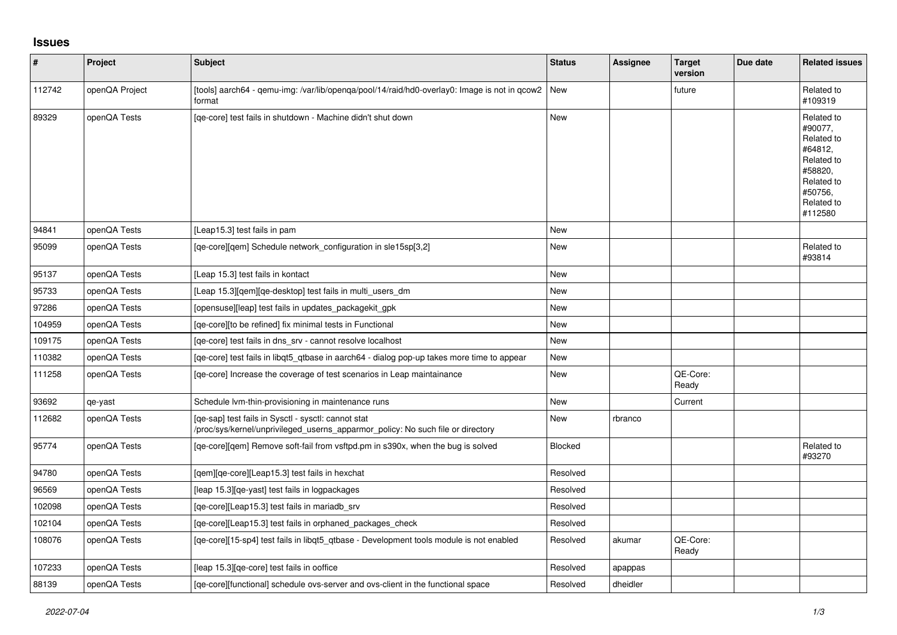## **Issues**

| #      | Project        | Subject                                                                                                                                | <b>Status</b> | Assignee | <b>Target</b><br>version | Due date | <b>Related issues</b>                                                                                                     |
|--------|----------------|----------------------------------------------------------------------------------------------------------------------------------------|---------------|----------|--------------------------|----------|---------------------------------------------------------------------------------------------------------------------------|
| 112742 | openQA Project | [tools] aarch64 - gemu-img: /var/lib/openga/pool/14/raid/hd0-overlay0: Image is not in gcow2   New<br>format                           |               |          | future                   |          | Related to<br>#109319                                                                                                     |
| 89329  | openQA Tests   | [ge-core] test fails in shutdown - Machine didn't shut down                                                                            | <b>New</b>    |          |                          |          | Related to<br>#90077,<br>Related to<br>#64812,<br>Related to<br>#58820,<br>Related to<br>#50756,<br>Related to<br>#112580 |
| 94841  | openQA Tests   | [Leap15.3] test fails in pam                                                                                                           | <b>New</b>    |          |                          |          |                                                                                                                           |
| 95099  | openQA Tests   | [qe-core][qem] Schedule network_configuration in sle15sp[3,2]                                                                          | New           |          |                          |          | Related to<br>#93814                                                                                                      |
| 95137  | openQA Tests   | [Leap 15.3] test fails in kontact                                                                                                      | New           |          |                          |          |                                                                                                                           |
| 95733  | openQA Tests   | [Leap 15.3] [gem] [ge-desktop] test fails in multi users dm                                                                            | New           |          |                          |          |                                                                                                                           |
| 97286  | openQA Tests   | [opensuse][leap] test fails in updates_packagekit_gpk                                                                                  | New           |          |                          |          |                                                                                                                           |
| 104959 | openQA Tests   | [qe-core][to be refined] fix minimal tests in Functional                                                                               | New           |          |                          |          |                                                                                                                           |
| 109175 | openQA Tests   | [qe-core] test fails in dns_srv - cannot resolve localhost                                                                             | New           |          |                          |          |                                                                                                                           |
| 110382 | openQA Tests   | [qe-core] test fails in libqt5_qtbase in aarch64 - dialog pop-up takes more time to appear                                             | New           |          |                          |          |                                                                                                                           |
| 111258 | openQA Tests   | [qe-core] Increase the coverage of test scenarios in Leap maintainance                                                                 | New           |          | QE-Core:<br>Ready        |          |                                                                                                                           |
| 93692  | qe-yast        | Schedule Ivm-thin-provisioning in maintenance runs                                                                                     | New           |          | Current                  |          |                                                                                                                           |
| 112682 | openQA Tests   | [ge-sap] test fails in Sysctl - sysctl: cannot stat<br>/proc/sys/kernel/unprivileged_userns_apparmor_policy: No such file or directory | New           | rbranco  |                          |          |                                                                                                                           |
| 95774  | openQA Tests   | [qe-core][qem] Remove soft-fail from vsftpd.pm in s390x, when the bug is solved                                                        | Blocked       |          |                          |          | Related to<br>#93270                                                                                                      |
| 94780  | openQA Tests   | [qem][qe-core][Leap15.3] test fails in hexchat                                                                                         | Resolved      |          |                          |          |                                                                                                                           |
| 96569  | openQA Tests   | [leap 15.3][qe-yast] test fails in logpackages                                                                                         | Resolved      |          |                          |          |                                                                                                                           |
| 102098 | openQA Tests   | [qe-core][Leap15.3] test fails in mariadb_srv                                                                                          | Resolved      |          |                          |          |                                                                                                                           |
| 102104 | openQA Tests   | [qe-core][Leap15.3] test fails in orphaned_packages_check                                                                              | Resolved      |          |                          |          |                                                                                                                           |
| 108076 | openQA Tests   | [qe-core][15-sp4] test fails in libqt5_qtbase - Development tools module is not enabled                                                | Resolved      | akumar   | QE-Core:<br>Ready        |          |                                                                                                                           |
| 107233 | openQA Tests   | [leap 15.3][qe-core] test fails in ooffice                                                                                             | Resolved      | apappas  |                          |          |                                                                                                                           |
| 88139  | openQA Tests   | [qe-core][functional] schedule ovs-server and ovs-client in the functional space                                                       | Resolved      | dheidler |                          |          |                                                                                                                           |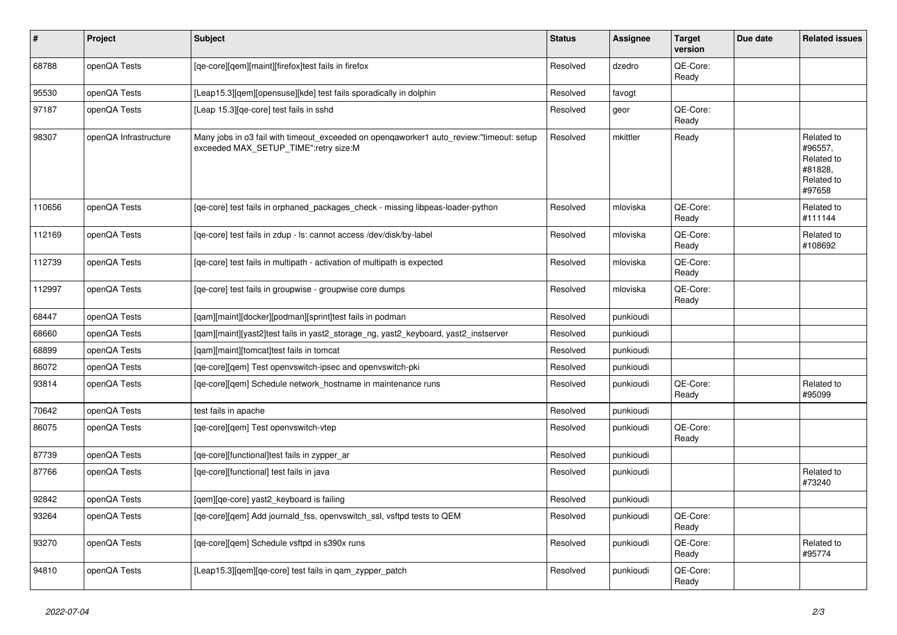| #      | Project               | <b>Subject</b>                                                                                                                   | <b>Status</b> | <b>Assignee</b> | <b>Target</b><br>version | Due date | <b>Related issues</b>                                                  |
|--------|-----------------------|----------------------------------------------------------------------------------------------------------------------------------|---------------|-----------------|--------------------------|----------|------------------------------------------------------------------------|
| 68788  | openQA Tests          | [qe-core][qem][maint][firefox]test fails in firefox                                                                              | Resolved      | dzedro          | QE-Core:<br>Ready        |          |                                                                        |
| 95530  | openQA Tests          | [Leap15.3][gem][opensuse][kde] test fails sporadically in dolphin                                                                | Resolved      | favogt          |                          |          |                                                                        |
| 97187  | openQA Tests          | [Leap 15.3] [qe-core] test fails in sshd                                                                                         | Resolved      | geor            | QE-Core:<br>Ready        |          |                                                                        |
| 98307  | openQA Infrastructure | Many jobs in o3 fail with timeout_exceeded on openqaworker1 auto_review:"timeout: setup<br>exceeded MAX_SETUP_TIME":retry size:M | Resolved      | mkittler        | Ready                    |          | Related to<br>#96557,<br>Related to<br>#81828,<br>Related to<br>#97658 |
| 110656 | openQA Tests          | [ge-core] test fails in orphaned packages check - missing libpeas-loader-python                                                  | Resolved      | mloviska        | QE-Core:<br>Ready        |          | Related to<br>#111144                                                  |
| 112169 | openQA Tests          | [qe-core] test fails in zdup - ls: cannot access /dev/disk/by-label                                                              | Resolved      | mloviska        | QE-Core:<br>Ready        |          | Related to<br>#108692                                                  |
| 112739 | openQA Tests          | [qe-core] test fails in multipath - activation of multipath is expected                                                          | Resolved      | mloviska        | QE-Core:<br>Ready        |          |                                                                        |
| 112997 | openQA Tests          | [qe-core] test fails in groupwise - groupwise core dumps                                                                         | Resolved      | mloviska        | QE-Core:<br>Ready        |          |                                                                        |
| 68447  | openQA Tests          | [qam][maint][docker][podman][sprint]test fails in podman                                                                         | Resolved      | punkioudi       |                          |          |                                                                        |
| 68660  | openQA Tests          | [qam][maint][yast2]test fails in yast2_storage_ng, yast2_keyboard, yast2_instserver                                              | Resolved      | punkioudi       |                          |          |                                                                        |
| 68899  | openQA Tests          | [qam][maint][tomcat]test fails in tomcat                                                                                         | Resolved      | punkioudi       |                          |          |                                                                        |
| 86072  | openQA Tests          | [qe-core][qem] Test openvswitch-ipsec and openvswitch-pki                                                                        | Resolved      | punkioudi       |                          |          |                                                                        |
| 93814  | openQA Tests          | [ge-core][gem] Schedule network hostname in maintenance runs                                                                     | Resolved      | punkioudi       | QE-Core:<br>Ready        |          | Related to<br>#95099                                                   |
| 70642  | openQA Tests          | test fails in apache                                                                                                             | Resolved      | punkioudi       |                          |          |                                                                        |
| 86075  | openQA Tests          | [qe-core][qem] Test openvswitch-vtep                                                                                             | Resolved      | punkioudi       | QE-Core:<br>Ready        |          |                                                                        |
| 87739  | openQA Tests          | [ge-core][functional]test fails in zypper ar                                                                                     | Resolved      | punkioudi       |                          |          |                                                                        |
| 87766  | openQA Tests          | [ge-core][functional] test fails in java                                                                                         | Resolved      | punkioudi       |                          |          | Related to<br>#73240                                                   |
| 92842  | openQA Tests          | [qem][qe-core] yast2_keyboard is failing                                                                                         | Resolved      | punkioudi       |                          |          |                                                                        |
| 93264  | openQA Tests          | [ge-core][gem] Add journald fss, openyswitch ssl, vsftpd tests to QEM                                                            | Resolved      | punkioudi       | QE-Core:<br>Ready        |          |                                                                        |
| 93270  | openQA Tests          | [qe-core][qem] Schedule vsftpd in s390x runs                                                                                     | Resolved      | punkioudi       | QE-Core:<br>Ready        |          | Related to<br>#95774                                                   |
| 94810  | openQA Tests          | [Leap15.3] [gem] [ge-core] test fails in gam zypper patch                                                                        | Resolved      | punkioudi       | QE-Core:<br>Ready        |          |                                                                        |